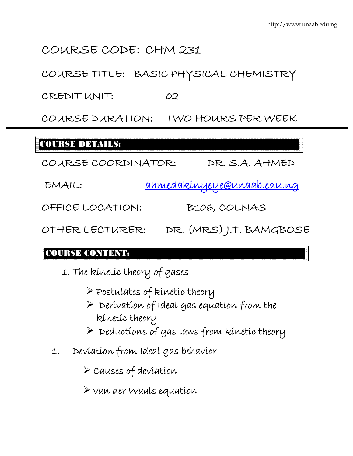# COURSE CODE: CHM 231

COURSE TITLE: BASIC PHYSICAL CHEMISTRY

CREDIT UNIT: 02

COURSE DURATION: TWO HOURS PER WEEK

# COURSE DETAILS:

COURSE COORDINATOR: DR. S.A. AHMED

EMAIL: ahmedakinyeye@unaab.edu.ng

OFFICE LOCATION: B106, COLNAS

OTHER LECTURER: DR. (MRS) J.T. BAMGBOSE

### COURSE CONTENT:

- 1. The kinetic theory of gases
	- ¾ Postulates of kinetic theory
	- $\triangleright$  Derivation of Ideal gas equation from the kinetic theory
	- $\triangleright$  Deductions of gas laws from kinetic theory
- 1. Deviation from Ideal gas behavior

 $\triangleright$  Causes of deviation

 $\triangleright$  van der Waals equation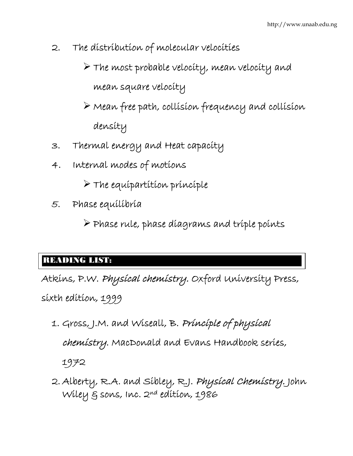- 2. The distribution of molecular velocities
	- ¾ The most probable velocity, mean velocity and mean square velocity
	- $\triangleright$  Mean free path, collision frequency and collision density
- 3. Thermal energy and Heat capacity
- 4. Internal modes of motions
	- $\triangleright$  The equipartition principle
- 5. Phase equilibria
	- $\triangleright$  Phase rule, phase diagrams and triple points

### $\overline{ }$ READING LIST:

Atkins, P.W. Physical chemistry. Oxford University Press, sixth edition, 1999

- 1. Gross, J.M. and Wiseall, B. Principle of physical chemistry. MacDonald and Evans Handbook series, 1972
- 2. Alberty, R.A. and Sibley, R.J. Physical Chemistry. John Wiley & sons, Inc. 2nd edition, 1986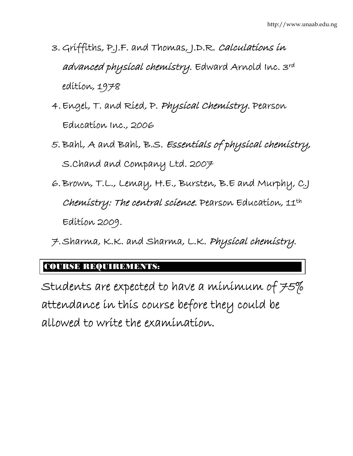- 3. Griffiths, P.J.F. and Thomas, J.D.R. Calculations in advanced physical chemistry. Edward Arnold Inc. 3rd edition, 1978
- 4.Engel, T. and Ried, P. Physical Chemistry. Pearson Education Inc., 2006
- 5. Bahl, A and Bahl, B.S. Essentials of physical chemistry, S.Chand and Company Ltd. 2007
- 6.Brown, T.L., Lemay, H.E., Bursten, B.E and Murphy, C.J Chemistry: The central science. Pearson Education, 11th Edition 2009.
- 7.Sharma, K.K. and Sharma, L.K. Physical chemistry.

### COURSE REQUIREMENTS:

Students are expected to have a minimum of  $75\%$ attendance in this course before they could be allowed to write the examination.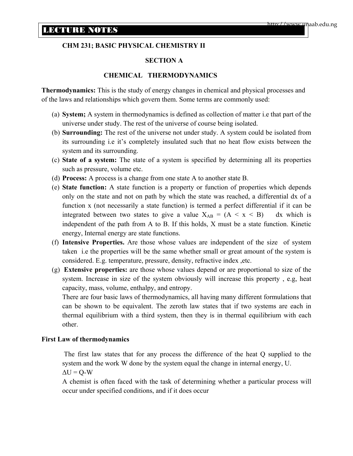#### **CHM 231; BASIC PHYSICAL CHEMISTRY II**

#### **SECTION A**

#### **CHEMICAL THERMODYNAMICS**

**Thermodynamics:** This is the study of energy changes in chemical and physical processes and of the laws and relationships which govern them. Some terms are commonly used:

- (a) **System;** A system in thermodynamics is defined as collection of matter i.e that part of the universe under study. The rest of the universe of course being isolated.
- (b) **Surrounding:** The rest of the universe not under study. A system could be isolated from its surrounding i.e it's completely insulated such that no heat flow exists between the system and its surrounding.
- (c) **State of a system:** The state of a system is specified by determining all its properties such as pressure, volume etc.
- (d) **Process:** A process is a change from one state A to another state B.
- (e) **State function:** A state function is a property or function of properties which depends only on the state and not on path by which the state was reached, a differential dx of a function x (not necessarily a state function) is termed a perfect differential if it can be integrated between two states to give a value  $X_{AB} = (A \le x \le B)$  dx which is independent of the path from A to B. If this holds, X must be a state function. Kinetic energy, Internal energy are state functions.
- (f) **Intensive Properties.** Are those whose values are independent of the size of system taken i.e the properties will be the same whether small or great amount of the system is considered. E.g. temperature, pressure, density, refractive index ,etc.
- (g) **Extensive properties:** are those whose values depend or are proportional to size of the system. Increase in size of the system obviously will increase this property , e.g, heat capacity, mass, volume, enthalpy, and entropy.

There are four basic laws of thermodynamics, all having many different formulations that can be shown to be equivalent. The zeroth law states that if two systems are each in thermal equilibrium with a third system, then they is in thermal equilibrium with each other.

#### **First Law of thermodynamics**

 The first law states that for any process the difference of the heat Q supplied to the system and the work W done by the system equal the change in internal energy, U.  $\Delta U = Q - W$ 

A chemist is often faced with the task of determining whether a particular process will occur under specified conditions, and if it does occur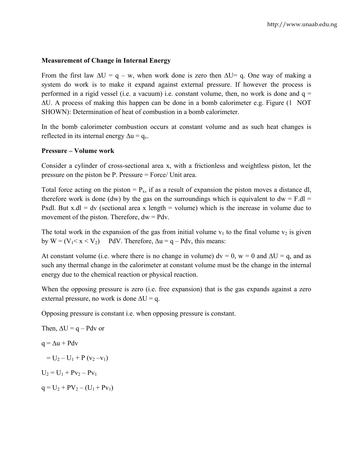#### **Measurement of Change in Internal Energy**

From the first law  $\Delta U = q - w$ , when work done is zero then  $\Delta U = q$ . One way of making a system do work is to make it expand against external pressure. If however the process is performed in a rigid vessel (i.e. a vacuum) i.e. constant volume, then, no work is done and  $q =$ ∆U. A process of making this happen can be done in a bomb calorimeter e.g. Figure (1 NOT SHOWN): Determination of heat of combustion in a bomb calorimeter.

In the bomb calorimeter combustion occurs at constant volume and as such heat changes is reflected in its internal energy  $\Delta u = q_v$ .

#### **Pressure – Volume work**

Consider a cylinder of cross-sectional area x, with a frictionless and weightless piston, let the pressure on the piston be P. Pressure = Force/ Unit area.

Total force acting on the piston  $= P_x$ , if as a result of expansion the piston moves a distance dl, therefore work is done (dw) by the gas on the surroundings which is equivalent to  $dw = F \cdot dl$ Pxdl. But  $x$ .dl = dv (sectional area x length = volume) which is the increase in volume due to movement of the piston. Therefore,  $dw = Pdv$ .

The total work in the expansion of the gas from initial volume  $v_1$  to the final volume  $v_2$  is given by  $W = (V_1 < x < V_2)$  PdV. Therefore,  $\Delta u = q - P dv$ , this means:

At constant volume (i.e. where there is no change in volume)  $dv = 0$ ,  $w = 0$  and  $\Delta U = q$ , and as such any thermal change in the calorimeter at constant volume must be the change in the internal energy due to the chemical reaction or physical reaction.

When the opposing pressure is zero (i.e. free expansion) that is the gas expands against a zero external pressure, no work is done  $\Delta U = q$ .

Opposing pressure is constant i.e. when opposing pressure is constant.

Then,  $\Delta U = g - P dv$  or  $q = \Delta u + P dv$  $= U_2 - U_1 + P (v_2 - v_1)$  $U_2 = U_1 + Pv_2 - Pv_1$  $q = U_2 + PV_2 - (U_1 + PV_1)$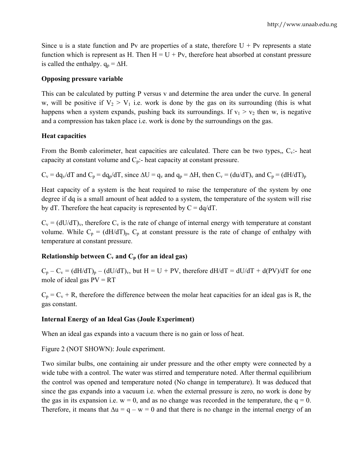Since u is a state function and Pv are properties of a state, therefore  $U + Pv$  represents a state function which is represent as H. Then  $H = U + Pv$ , therefore heat absorbed at constant pressure is called the enthalpy.  $q_p = \Delta H$ .

#### **Opposing pressure variable**

This can be calculated by putting P versus v and determine the area under the curve. In general w, will be positive if  $V_2 > V_1$  i.e. work is done by the gas on its surrounding (this is what happens when a system expands, pushing back its surroundings. If  $v_1 > v_2$  then w, is negative and a compression has taken place i.e. work is done by the surroundings on the gas.

#### **Heat capacities**

From the Bomb calorimeter, heat capacities are calculated. There can be two types,,  $C_v$ :- heat capacity at constant volume and  $C_p$ :- heat capacity at constant pressure.

 $C_v = dq_v/dT$  and  $C_p = dq_p/dT$ , since  $\Delta U = q_v$  and  $q_p = \Delta H$ , then  $C_v = (du/dT)_v$  and  $C_p = (dH/dT)_p$ 

Heat capacity of a system is the heat required to raise the temperature of the system by one degree if dq is a small amount of heat added to a system, the temperature of the system will rise by dT. Therefore the heat capacity is represented by  $C = dq/dT$ .

 $C_v = (dU/dT)_v$ , therefore  $C_v$  is the rate of change of internal energy with temperature at constant volume. While  $C_p = (dH/dT)_p$ ,  $C_p$  at constant pressure is the rate of change of enthalpy with temperature at constant pressure.

#### **Relationship between**  $C_v$  **and**  $C_p$  **(for an ideal gas)**

 $C_p - C_v = (dH/dT)_p - (dU/dT)_v$ , but  $H = U + PV$ , therefore  $dH/dT = dU/dT + d(PV)/dT$  for one mole of ideal gas  $PV = RT$ 

 $C_p = C_v + R$ , therefore the difference between the molar heat capacities for an ideal gas is R, the gas constant.

#### **Internal Energy of an Ideal Gas (Joule Experiment)**

When an ideal gas expands into a vacuum there is no gain or loss of heat.

Figure 2 (NOT SHOWN): Joule experiment.

Two similar bulbs, one containing air under pressure and the other empty were connected by a wide tube with a control. The water was stirred and temperature noted. After thermal equilibrium the control was opened and temperature noted (No change in temperature). It was deduced that since the gas expands into a vacuum i.e. when the external pressure is zero, no work is done by the gas in its expansion i.e.  $w = 0$ , and as no change was recorded in the temperature, the  $q = 0$ . Therefore, it means that  $\Delta u = g - w = 0$  and that there is no change in the internal energy of an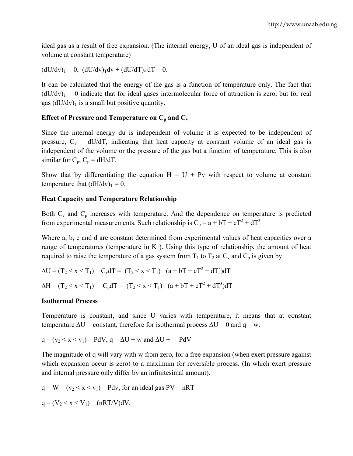ideal gas as a result of free expansion. (The internal energy, U of an ideal gas is independent of volume at constant temperature)

 $(dU/dv)_T = 0$ ,  $(dU/dv)_T dv + (dU/dT)_v dT = 0$ .

It can be calculated that the energy of the gas is a function of temperature only. The fact that  $(dU/dv)$ <sub>T</sub> = 0 indicate that for ideal gases intermolecular force of attraction is zero, but for real gas  $(dU/dv)$ <sub>T</sub> is a small but positive quantity.

#### **Effect of Pressure and Temperature on**  $C_p$  **and**  $C_v$

Since the internal energy du is independent of volume it is expected to be independent of pressure,  $C_v = dU/dT$ , indicating that heat capacity at constant volume of an ideal gas is independent of the volume or the pressure of the gas but a function of temperature. This is also similar for  $C_p$ ,  $C_p = dH/dT$ .

Show that by differentiating the equation  $H = U + Pv$  with respect to volume at constant temperature that  $(dH/dv)$ <sub>T</sub> = 0.

#### **Heat Capacity and Temperature Relationship**

Both  $C_v$  and  $C_p$  increases with temperature. And the dependence on temperature is predicted from experimental measurements. Such relationship is  $C_p = a + bT + cT^2 + dT^3$ 

Where a, b, c and d are constant determined from experimental values of heat capacities over a range of temperatures (temperature in  $K$ ). Using this type of relationship, the amount of heat required to raise the temperature of a gas system from  $T_1$  to  $T_2$  at  $C_v$  and  $C_p$  is given by

$$
\Delta U = (T_2 < x < T_1) \quad C_v dT = (T_2 < x < T_1) \quad (a + bT + cT^2 + dT^3) dT
$$
\n
$$
\Delta H = (T_2 < x < T_1) \quad C_p dT = (T_2 < x < T_1) \quad (a + bT + cT^2 + dT^3) dT
$$

#### **Isothermal Process**

Temperature is constant, and since U varies with temperature, it means that at constant temperature  $\Delta U =$  constant, therefore for isothermal process  $\Delta U = 0$  and  $q = w$ .

$$
q = (v_2 < x < v_1) \quad PdV, \, q = \Delta U + w \text{ and } \Delta U + PdV
$$

The magnitude of q will vary with w from zero, for a free expansion (when exert pressure against which expansion occur is zero) to a maximum for reversible process. (In which exert pressure and internal pressure only differ by an infinitesimal amount).

 $q = W = (v_2 < x < v_1)$  Pdv, for an ideal gas PV = nRT

 $q = (V_2 < x < V_1)$  (nRT/V)dV,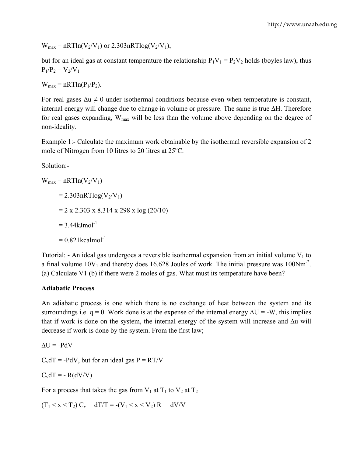$W_{\text{max}} = nRTln(V_2/V_1)$  or 2.303nRTlog( $V_2/V_1$ ),

but for an ideal gas at constant temperature the relationship  $P_1V_1 = P_2V_2$  holds (boyles law), thus  $P_1/P_2 = V_2/V_1$ 

 $W_{max} = nRTln(P_1/P_2)$ .

For real gases  $\Delta u \neq 0$  under isothermal conditions because even when temperature is constant, internal energy will change due to change in volume or pressure. The same is true ∆H. Therefore for real gases expanding,  $W_{\text{max}}$  will be less than the volume above depending on the degree of non-ideality.

Example 1:- Calculate the maximum work obtainable by the isothermal reversible expansion of 2 mole of Nitrogen from 10 litres to 20 litres at  $25^{\circ}$ C.

Solution:-

 $W_{max} = nRTln(V_2/V_1)$  $= 2.303nRTlog(V_2/V_1)$  $= 2 \times 2.303 \times 8.314 \times 298 \times \log(20/10)$  $= 3.44$ kJmol<sup>-1</sup>  $= 0.821$ kcalmol<sup>-1</sup>

Tutorial: - An ideal gas undergoes a reversible isothermal expansion from an initial volume  $V_1$  to a final volume  $10V_1$  and thereby does 16.628 Joules of work. The initial pressure was  $100Nm<sup>-2</sup>$ . (a) Calculate V1 (b) if there were 2 moles of gas. What must its temperature have been?

#### **Adiabatic Process**

An adiabatic process is one which there is no exchange of heat between the system and its surroundings i.e. q = 0. Work done is at the expense of the internal energy  $\Delta U = -W$ , this implies that if work is done on the system, the internal energy of the system will increase and ∆u will decrease if work is done by the system. From the first law;

 $\Delta U = -PdV$ 

 $C_v dT = -PdV$ , but for an ideal gas  $P = RT/V$ 

$$
C_v dT = - R(dV/V)
$$

For a process that takes the gas from  $V_1$  at  $T_1$  to  $V_2$  at  $T_2$ 

 $(T_1 \le x \le T_2)$   $C_v$   $dT/T = -(V_1 \le x \le V_2)$   $R$   $dV/V$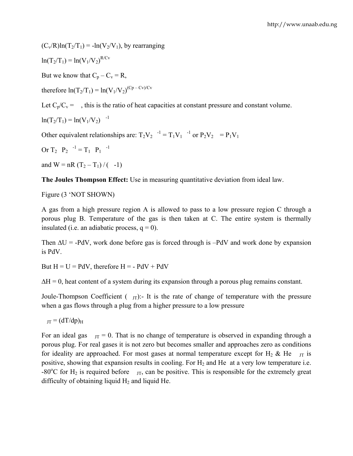$(C_v/R)ln(T_2/T_1) = -ln(V_2/V_1)$ , by rearranging

$$
\ln(T_2/T_1) = \ln(V_1/V_2)^{R/Cv}
$$

But we know that  $C_p - C_v = R$ ,

therefore  $ln(T_2/T_1) = ln(V_1/V_2)^{(Cp-Cv)/Cv}$ 

Let  $C_p/C_v =$ , this is the ratio of heat capacities at constant pressure and constant volume.

$$
\ln(T_2/T_1) = \ln(V_1/V_2)^{-1}
$$

Other equivalent relationships are:  $T_2V_2$   $^{-1} = T_1V_1$   $^{-1}$  or  $P_2V_2 = P_1V_1$ 

Or 
$$
T_2
$$
  $P_2$   $-1 = T_1$   $P_1$   $-1$ 

and  $W = nR (T_2 - T_1) / (-1)$ 

**The Joules Thompson Effect:** Use in measuring quantitative deviation from ideal law.

Figure (3 'NOT SHOWN)

A gas from a high pressure region A is allowed to pass to a low pressure region C through a porous plug B. Temperature of the gas is then taken at C. The entire system is thermally insulated (i.e. an adiabatic process,  $q = 0$ ).

Then  $\Delta U = -PdV$ , work done before gas is forced through is  $-PdV$  and work done by expansion is PdV.

But  $H = U = PdV$ , therefore  $H = -PdV + PdV$ 

 $\Delta H = 0$ , heat content of a system during its expansion through a porous plug remains constant.

Joule-Thompson Coefficient  $(\gamma_{\text{IT}})$ :- It is the rate of change of temperature with the pressure when a gas flows through a plug from a higher pressure to a low pressure

 $_{TT} = (dT/dp)<sub>H</sub>$ 

For an ideal gas  $_{\text{JT}} = 0$ . That is no change of temperature is observed in expanding through a porous plug. For real gases it is not zero but becomes smaller and approaches zero as conditions for ideality are approached. For most gases at normal temperature except for H<sub>2</sub> & He  $_{\text{JT}}$  is positive, showing that expansion results in cooling. For  $H_2$  and He at a very low temperature i.e. -80 $^{\circ}$ C for H<sub>2</sub> is required before  $_{\text{JT}}$ , can be positive. This is responsible for the extremely great difficulty of obtaining liquid  $H_2$  and liquid He.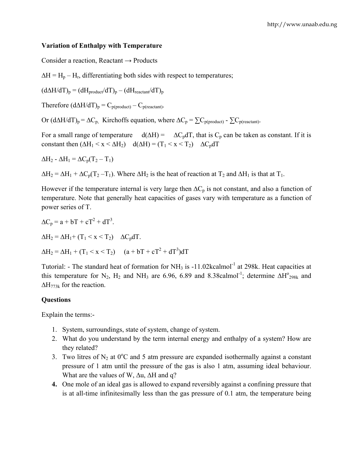#### **Variation of Enthalpy with Temperature**

Consider a reaction, Reactant  $\rightarrow$  Products

 $\Delta H = H_p - H_r$ , differentiating both sides with respect to temperatures;

 $(d\Delta H/dT)_p = (dH_{product}/dT)_p - (dH_{reactant}/dT)_p$ 

Therefore  $(d\Delta H/dT)_p = C_{p(product)} - C_{p(reactant)}$ .

Or  $(d\Delta H/dT)_p = \Delta C_p$ , Kirchoffs equation, where  $\Delta C_p = \sum C_{p(produced)} - \sum C_{p(reactant)}$ .

For a small range of temperature  $d(\Delta H) = \Delta C_p dT$ , that is  $C_p$  can be taken as constant. If it is constant then  $(\Delta H_1 \le x \le \Delta H_2)$   $d(\Delta H) = (T_1 \le x \le T_2)$   $\Delta C_p dT$ 

 $\Delta H_2$  -  $\Delta H_1 = \Delta C_p (T_2 - T_1)$ 

 $\Delta H_2 = \Delta H_1 + \Delta C_p (T_2 - T_1)$ . Where  $\Delta H_2$  is the heat of reaction at  $T_2$  and  $\Delta H_1$  is that at  $T_1$ .

However if the temperature internal is very large then  $\Delta C_p$  is not constant, and also a function of temperature. Note that generally heat capacities of gases vary with temperature as a function of power series of T.

 $\Delta C_p = a + bT + cT^2 + dT^3$ .  $\Delta H_2 = \Delta H_1 + (T_1 \le x \le T_2)$   $\Delta C_p dT$ .  $\Delta H_2 = \Delta H_1 + (T_1 \le x \le T_2)$   $(a + bT + cT^2 + dT^3)dT$ 

Tutorial: - The standard heat of formation for NH<sub>3</sub> is -11.02kcalmol<sup>-1</sup> at 298k. Heat capacities at this temperature for N<sub>2</sub>, H<sub>2</sub> and NH<sub>3</sub> are 6.96, 6.89 and 8.38calmol<sup>-1</sup>; determine  $\Delta H^{\circ_{298k}}$  and  $\Delta H_{773k}$  for the reaction.

#### **Questions**

Explain the terms:-

- 1. System, surroundings, state of system, change of system.
- 2. What do you understand by the term internal energy and enthalpy of a system? How are they related?
- 3. Two litres of  $N_2$  at  $0^{\circ}$ C and 5 atm pressure are expanded isothermally against a constant pressure of 1 atm until the pressure of the gas is also 1 atm, assuming ideal behaviour. What are the values of W, ∆u, ∆H and q?
- **4.** One mole of an ideal gas is allowed to expand reversibly against a confining pressure that is at all-time infinitesimally less than the gas pressure of 0.1 atm, the temperature being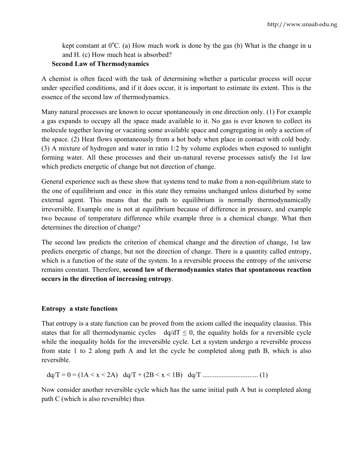kept constant at  $0^{\circ}$ C. (a) How much work is done by the gas (b) What is the change in u and H. (c) How much heat is absorbed?

#### **Second Law of Thermodynamics**

A chemist is often faced with the task of determining whether a particular process will occur under specified conditions, and if it does occur, it is important to estimate its extent. This is the essence of the second law of thermodynamics.

Many natural processes are known to occur spontaneously in one direction only. (1) For example a gas expands to occupy all the space made available to it. No gas is ever known to collect its molecule together leaving or vacating some available space and congregating in only a section of the space. (2) Heat flows spontaneously from a hot body when place in contact with cold body. (3) A mixture of hydrogen and water in ratio 1:2 by volume explodes when exposed to sunlight forming water. All these processes and their un-natural reverse processes satisfy the 1st law which predicts energetic of change but not direction of change.

General experience such as these show that systems tend to make from a non-equilibrium state to the one of equilibrium and once in this state they remains unchanged unless disturbed by some external agent. This means that the path to equilibrium is normally thermodynamically irreversible. Example one is not at equilibrium because of difference in pressure, and example two because of temperature difference while example three is a chemical change. What then determines the direction of change?

The second law predicts the criterion of chemical change and the direction of change, 1st law predicts energetic of change, but not the direction of change. There is a quantity called entropy, which is a function of the state of the system. In a reversible process the entropy of the universe remains constant. Therefore, **second law of thermodynamics states that spontaneous reaction occurs in the direction of increasing entropy**.

#### **Entropy a state functions**

That entropy is a state function can be proved from the axiom called the inequality clausius. This states that for all thermodynamic cycles  $dq/dT \le 0$ , the equality holds for a reversible cycle while the inequality holds for the irreversible cycle. Let a system undergo a reversible process from state 1 to 2 along path A and let the cycle be completed along path B, which is also reversible.

dq/T = 0 = (1A < x < 2A)dq/T + (2B < x < 1B)dq/T ................................ (1)

Now consider another reversible cycle which has the same initial path A but is completed along path C (which is also reversible) thus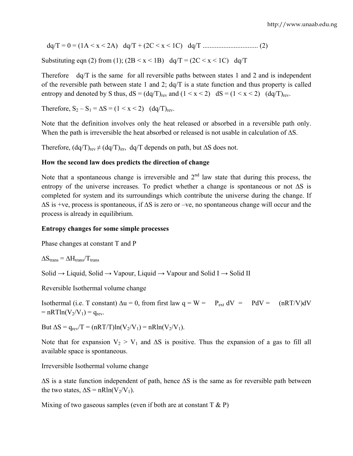dq/T = 0 = (1A < x < 2A)dq/T + (2C < x < 1C)dq/T ................................ (2)

Substituting eqn (2) from (1);  $(2B \le x \le 1B)$  dq/T =  $(2C \le x \le 1C)$  dq/T

Therefore dq/T is the same for all reversible paths between states 1 and 2 and is independent of the reversible path between state 1 and 2; dq/T is a state function and thus property is called entropy and denoted by S thus,  $dS = (dq/T)_{rev}$  and  $(1 \le x \le 2)$   $dS = (1 \le x \le 2)$   $(dq/T)_{rev}$ .

Therefore,  $S_2 - S_1 = \Delta S = (1 \le x \le 2)$  (dq/T)<sub>rev</sub>.

Note that the definition involves only the heat released or absorbed in a reversible path only. When the path is irreversible the heat absorbed or released is not usable in calculation of  $\Delta S$ .

Therefore,  $(dq/T)_{rev} \neq (dq/T)_{irr}$ , dq/T depends on path, but  $\Delta S$  does not.

#### **How the second law does predicts the direction of change**

Note that a spontaneous change is irreversible and  $2<sup>nd</sup>$  law state that during this process, the entropy of the universe increases. To predict whether a change is spontaneous or not ∆S is completed for system and its surroundings which contribute the universe during the change. If ∆S is +ve, process is spontaneous, if ∆S is zero or –ve, no spontaneous change will occur and the process is already in equilibrium.

#### **Entropy changes for some simple processes**

Phase changes at constant T and P

 $\Delta S_{trans} = \Delta H_{trans}/T_{trans}$ 

Solid  $\rightarrow$  Liquid, Solid  $\rightarrow$  Vapour, Liquid  $\rightarrow$  Vapour and Solid I  $\rightarrow$  Solid II

Reversible Isothermal volume change

Isothermal (i.e. T constant)  $\Delta u = 0$ , from first law  $q = W = P_{ext} dV = P dV = (nRT/V) dV$  $=$  nRTln(V<sub>2</sub>/V<sub>1</sub>)  $=$  q<sub>rev</sub>.

But  $\Delta S = q_{rev}/T = (nRT/T)ln(V_2/V_1) = nRln(V_2/V_1)$ .

Note that for expansion  $V_2 > V_1$  and  $\Delta S$  is positive. Thus the expansion of a gas to fill all available space is spontaneous.

Irreversible Isothermal volume change

∆S is a state function independent of path, hence ∆S is the same as for reversible path between the two states,  $\Delta S = nR\ln(V_2/V_1)$ .

Mixing of two gaseous samples (even if both are at constant  $T \& P$ )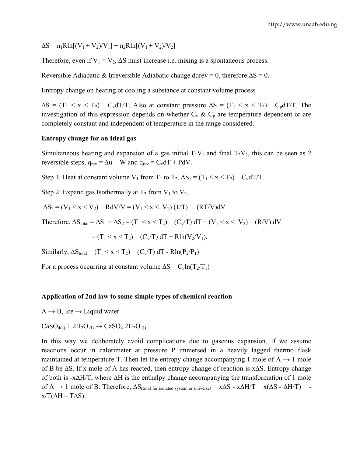$\Delta S = n_1 R \ln[(V_1 + V_2)/V_1] + n_2 R \ln[(V_1 + V_2)/V_2]$ 

Therefore, even if  $V_1 = V_2$ ,  $\Delta S$  must increase i.e. mixing is a spontaneous process.

Reversible Adiabatic & Irreversible Adiabatic change dqrev = 0, therefore  $\Delta S = 0$ .

Entropy change on heating or cooling a substance at constant volume process

 $\Delta S = (T_1 \le x \le T_2)$  C<sub>v</sub>dT/T. Also at constant pressure  $\Delta S = (T_1 \le x \le T_2)$  C<sub>p</sub>dT/T. The investigation of this expression depends on whether  $C_v \& C_p$  are temperature dependent or are completely constant and independent of temperature in the range considered.

#### **Entropy change for an Ideal gas**

Simultaneous heating and expansion of a gas initial  $T_1V_1$  and final  $T_2V_2$ , this can be seen as 2 reversible steps,  $q_{rev} = \Delta u + W$  and  $q_{rev} = C_v dT + PdV$ .

Step 1: Heat at constant volume  $V_1$  from  $T_1$  to  $T_2$ ,  $\Delta S_1 = (T_1 < x < T_2)$   $C_v dT/T$ .

Step 2: Expand gas Isothermally at  $T_2$  from  $V_1$  to  $V_2$ ,

$$
\Delta S_2 = (V_1 < x < V_2) \quad RdV/V = (V_1 < x < V_2) (1/T) \quad (RT/V)dV
$$

Therefore,  $\Delta S_{total} = \Delta S_1 + \Delta S_2 = (T_1 \le x \le T_2)$   $(C_v/T) dT + (V_1 \le x \le V_2)$   $(R/V) dV$ 

$$
= (T_1 < x < T_2) \quad (C_v/T) dT + R\ln(V_2/V_1).
$$

Similarly,  $\Delta S_{total} = (T_1 < x < T_2)$  (C<sub>v</sub>/T) dT - Rln(P<sub>2</sub>/P<sub>1</sub>)

For a process occurring at constant volume  $\Delta S = C_v \ln(T_2/T_1)$ 

#### **Application of 2nd law to some simple types of chemical reaction**

 $A \rightarrow B$ , Ice  $\rightarrow$  Liquid water

 $CaSO_{4(s)} + 2H_2O_{(1)} \rightarrow CaSO_4.2H_2O_{(1)}$ 

In this way we deliberately avoid complications due to gaseous expansion. If we assume reactions occur in calorimeter at pressure P immersed in a heavily lagged thermo flask maintained at temperature T. Then let the entropy change accompanying 1 mole of  $A \rightarrow 1$  mole of B be ∆S. If x mole of A has reacted, then entropy change of reaction is x∆S. Entropy change of both is -x∆H/T, where ∆H is the enthalpy change accompanying the transformation of 1 mole of A  $\rightarrow$  1 mole of B. Therefore,  $\Delta S$ <sub>(total for isolated system or universe)</sub> = x $\Delta S$  - x $\Delta H/T$  = x( $\Delta S$  -  $\Delta H/T$ ) =  $x/T(\Delta H - T\Delta S)$ .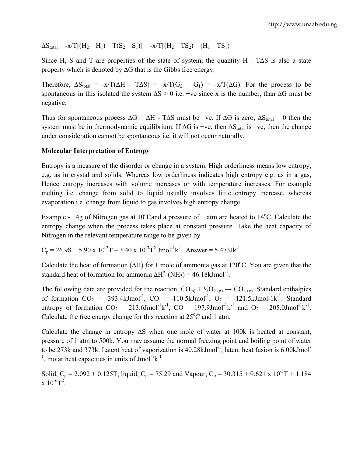$\Delta S_{\text{total}} = -x/T[(H_2 - H_1) - T(S_2 - S_1)] = -x/T[(H_2 - TS_2) - (H_1 - TS_1)]$ 

Since H, S and T are properties of the state of system, the quantity H - T $\Delta S$  is also a state property which is denoted by ∆G that is the Gibbs free energy.

Therefore,  $\Delta S_{total} = -x/T(\Delta H - T\Delta S) = -x/T(G_2 - G_1) = -x/T(\Delta G)$ . For the process to be spontaneous in this isolated the system  $\Delta S > 0$  i.e. +ve since x is the number, than  $\Delta G$  must be negative.

Thus for spontaneous process  $\Delta G = \Delta H$  - T $\Delta S$  must be –ve. If  $\Delta G$  is zero,  $\Delta S_{total} = 0$  then the system must be in thermodynamic equilibrium. If  $\Delta G$  is +ve, then  $\Delta S_{total}$  is –ve, then the change under consideration cannot be spontaneous i.e. it will not occur naturally.

#### **Molecular Interpretation of Entropy**

Entropy is a measure of the disorder or change in a system. High orderliness means low entropy, e.g. as in crystal and solids. Whereas low orderliness indicates high entropy e.g. as in a gas, Hence entropy increases with volume increases or with temperature increases. For example melting i.e. change from solid to liquid usually involves little entropy increase, whereas evaporation i.e. change from liquid to gas involves high entropy change.

Example:- 14g of Nitrogen gas at 10°Cand a pressure of 1 atm are heated to 14°C. Calculate the entropy change when the process takes place at constant pressure. Take the heat capacity of Nitrogen in the relevant temperature range to be given by

 $C_p = 26.98 + 5.90 \text{ x } 10^{-3} \text{T} - 3.40 \text{ x } 10^{-7} \text{T}^2 \text{ J} \text{mol}^{-1} \text{k}^{-1}$ . Answer = 5.473Jk<sup>-1</sup>.

Calculate the heat of formation ( $\Delta H$ ) for 1 mole of ammonia gas at 120°C. You are given that the standard heat of formation for ammonia  $\Delta H^{\circ}_{f}(NH_3) = 46.18 \text{kJmol}^{-1}$ .

The following data are provided for the reaction,  $CO_{(s)} + \frac{1}{2}O_{(s)} \rightarrow CO_{(s)}$ . Standard enthalpies of formation  $CO_2$  = -393.4kJmol<sup>-1</sup>,  $CO$  = -110.5kJmol<sup>-1</sup>,  $O_2$  = -121.5kJmol-1k<sup>-1</sup>. Standard entropy of formation  $CO_2 = 213.6$ Jmol<sup>-1</sup>k<sup>-1</sup>,  $CO = 197.9$ Jmol<sup>-1</sup>k<sup>-1</sup> and  $O_2 = 205.0$ Jmol<sup>-1</sup>k<sup>-1</sup>. Calculate the free energy change for this reaction at  $25^{\circ}$ C and 1 atm.

Calculate the change in entropy ∆S when one mole of water at 100k is heated at constant, pressure of 1 atm to 500k. You may assume the normal freezing point and boiling point of water to be 273k and 373k. Latent heat of vaporization is  $40.28 \text{kJmol}^{-1}$ , latent heat fusion is 6.00kJmol<sup>-1</sup> <sup>1</sup>, molar heat capacities in units of Jmol<sup>-1</sup>k<sup>-1</sup>

Solid,  $C_p = 2.092 + 0.125T$ , liquid,  $C_p = 75.29$  and Vapour,  $C_p = 30.315 + 9.621 \times 10^{-3}T + 1.184$  $x 10^{-6}T^2$ .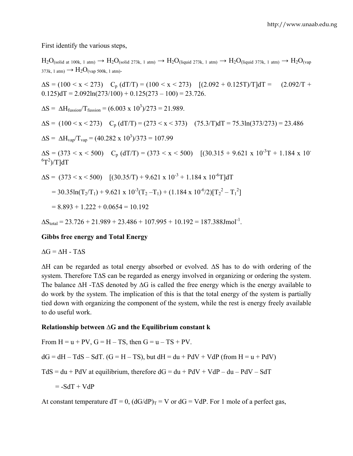First identify the various steps,

 $H_2O_{\text{(solid at 100k, 1 atm)}} \rightarrow H_2O_{\text{(solid 273k, 1 atm)}} \rightarrow H_2O_{\text{(liquid 273k, 1 atm)}} \rightarrow H_2O_{\text{(liquid 373k, 1 atm)}} \rightarrow H_2O_{\text{(vap)}}$  $373k$ , 1 atm)  $\rightarrow$   $H_2O_{(van\ 500k, 1 \text{ atm})}$ .  $\Delta S = (100 \le x \le 273)$  C<sub>p</sub> (dT/T) = (100  $\le x \le 273$ ) [(2.092 + 0.125T)/T]dT = (2.092/T +  $0.125$ )dT = 2.092ln(273/100) +  $0.125(273 - 100) = 23.726$ .  $\Delta S = \Delta H_{\text{fusion}}/T_{\text{fusion}} = (6.003 \times 10^3)/273 = 21.989.$  $\Delta S = (100 \le x \le 273)$  C<sub>p</sub> (dT/T) = (273 < x < 373) (75.3/T)dT = 75.3ln(373/273) = 23.486  $\Delta S = \Delta H_{\text{vap}}/T_{\text{vap}} = (40.282 \times 10^3)/373 = 107.99$  $\Delta S = (373 \le x \le 500)$  C<sub>p</sub> (dT/T) = (373  $\le x \le 500$ ) [(30.315 + 9.621 x 10<sup>-3</sup>T + 1.184 x 10<sup>-3</sup>  ${}^{6}T^{2})/T$ ]dT  $\Delta S = (373 \le x \le 500)$   $[(30.35/T) + 9.621 \times 10^{-3} + 1.184 \times 10^{-6} T] dT$  $= 30.35\ln(T_2/T_1) + 9.621 \times 10^{-3}(T_2 - T_1) + (1.184 \times 10^{-6}/2)[T_2^2 - T_1^2]$  $= 8.893 + 1.222 + 0.0654 = 10.192$  $\Delta S_{\text{total}} = 23.726 + 21.989 + 23.486 + 107.995 + 10.192 = 187.388 \text{J} \text{mol}^{-1}$ .

#### **Gibbs free energy and Total Energy**

 $\Delta G = \Delta H - T \Delta S$ 

∆H can be regarded as total energy absorbed or evolved. ∆S has to do with ordering of the system. Therefore T∆S can be regarded as energy involved in organizing or ordering the system. The balance ∆H -T∆S denoted by ∆G is called the free energy which is the energy available to do work by the system. The implication of this is that the total energy of the system is partially tied down with organizing the component of the system, while the rest is energy freely available to do useful work.

#### **Relationship between ∆G and the Equilibrium constant k**

From  $H = u + PV$ ,  $G = H - TS$ , then  $G = u - TS + PV$ .

 $dG = dH - TdS - SdT$ .  $(G = H - TS)$ , but  $dH = du + PdV + VdP$  (from  $H = u + PdV$ )

 $TdS = du + PdV$  at equilibrium, therefore  $dG = du + PdV + VdP - du - PdV - SdT$ 

$$
= -SdT + VdP
$$

At constant temperature  $dT = 0$ ,  $(dG/dP)_T = V$  or  $dG = VdP$ . For 1 mole of a perfect gas,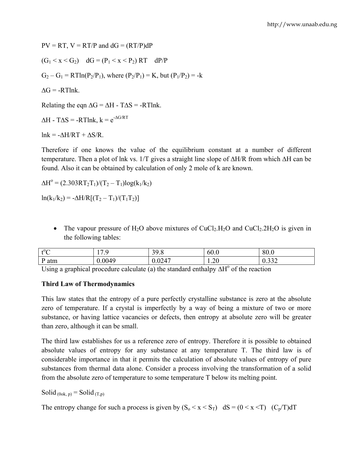$PV = RT$ ,  $V = RT/P$  and  $dG = (RT/P)dP$  $(G_1 < x < G_2)$  dG =  $(P_1 < x < P_2)$  RT dP/P  $G_2 - G_1 = RT\ln(P_2/P_1)$ , where  $(P_2/P_1) = K$ , but  $(P_1/P_2) = -k$  $\Delta G = -RTlnk$ Relating the eqn  $\Delta G = \Delta H - T \Delta S = -RT \text{lnk}$ .  $\Delta H$  - T $\Delta S$  = -RTlnk,  $k = e^{-\Delta G/RT}$ 

lnk =  $-\Delta H/RT + \Delta S/R$ .

Therefore if one knows the value of the equilibrium constant at a number of different temperature. Then a plot of lnk vs. 1/T gives a straight line slope of ∆H/R from which ∆H can be found. Also it can be obtained by calculation of only 2 mole of k are known.

 $\Delta H^{\circ} = (2.303RT_2T_1)/(T_2 - T_1)log(k_1/k_2)$ 

 $ln(k_1/k_2) = -\Delta H/R[(T_2 - T_1)/(T_1T_2)]$ 

• The vapour pressure of H<sub>2</sub>O above mixtures of CuCl<sub>2</sub>.H<sub>2</sub>O and CuCl<sub>2</sub>.2H<sub>2</sub>O is given in the following tables:

| 40 <sup>C</sup> | .                       | $\sim$ $\sim$ | - r               | $\Omega$                              |
|-----------------|-------------------------|---------------|-------------------|---------------------------------------|
| ∼               |                         |               | OU.U              | OV.V                                  |
| D<br>atm        | $\Lambda$ $\Omega$<br>∸ | 0.17          | $\bigcap$<br>1.20 | $\sim$ $\sim$ $\sim$<br>v. <i>∍⊃∸</i> |

Using a graphical procedure calculate (a) the standard enthalpy  $\Delta H^{\circ}$  of the reaction

#### **Third Law of Thermodynamics**

This law states that the entropy of a pure perfectly crystalline substance is zero at the absolute zero of temperature. If a crystal is imperfectly by a way of being a mixture of two or more substance, or having lattice vacancies or defects, then entropy at absolute zero will be greater than zero, although it can be small.

The third law establishes for us a reference zero of entropy. Therefore it is possible to obtained absolute values of entropy for any substance at any temperature T. The third law is of considerable importance in that it permits the calculation of absolute values of entropy of pure substances from thermal data alone. Consider a process involving the transformation of a solid from the absolute zero of temperature to some temperature T below its melting point.

Solid  $_{(0\text{ok. p})}$  = Solid  $_{(T,p)}$ 

The entropy change for such a process is given by  $(S_0 < x < S_T)$  dS =  $(0 < x < T)$  (C<sub>p</sub>/T)dT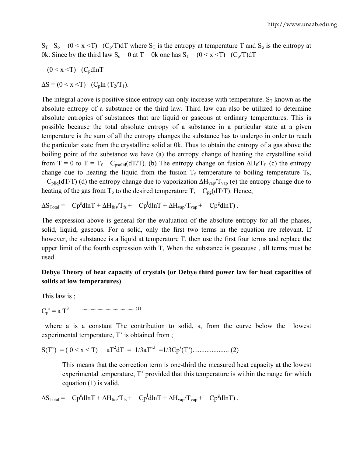$S_T - S_o = (0 \le x \le T)$  (C<sub>p</sub>/T)dT where  $S_T$  is the entropy at temperature T and S<sub>o</sub> is the entropy at 0k. Since by the third law  $S_0 = 0$  at  $T = 0k$  one has  $S_T = (0 \le x \le T)$  (C<sub>p</sub>/T)dT

$$
= (0 < x < T) \quad (C_p dlnT)
$$

 $\Delta S = (0 \le x \le T)$  (C<sub>p</sub>ln (T<sub>2</sub>/T<sub>1</sub>).

The integral above is positive since entropy can only increase with temperature.  $S_T$  known as the absolute entropy of a substance or the third law. Third law can also be utilized to determine absolute entropies of substances that are liquid or gaseous at ordinary temperatures. This is possible because the total absolute entropy of a substance in a particular state at a given temperature is the sum of all the entropy changes the substance has to undergo in order to reach the particular state from the crystalline solid at 0k. Thus to obtain the entropy of a gas above the boiling point of the substance we have (a) the entropy change of heating the crystalline solid from T = 0 to T = T<sub>f</sub> C<sub>psolid</sub>(dT/T). (b) The entropy change on fusion  $\Delta H_f/T_f$ . (c) the entropy change due to heating the liquid from the fusion  $T_f$  temperature to boiling temperature  $T_b$ ,

 $C_{\text{pliq}}(dT/T)$  (d) the entropy change due to vaporization  $\Delta H_{\text{vap}}/T_{\text{vap}}$  (e) the entropy change due to heating of the gas from  $T_b$  to the desired temperature T,  $C_{pg}(dT/T)$ . Hence,

 $\Delta S_{\text{Total}} = C p^s d \ln T + \Delta H_{\text{fus}} / T_{\text{fs}} + C p^l d \ln T + \Delta H_{\text{vap}} / T_{\text{vap}} + C p^s d \ln T)$ .

The expression above is general for the evaluation of the absolute entropy for all the phases, solid, liquid, gaseous. For a solid, only the first two terms in the equation are relevant. If however, the substance is a liquid at temperature T, then use the first four terms and replace the upper limit of the fourth expression with T, When the substance is gaseouse , all terms must be used.

#### **Debye Theory of heat capacity of crystals (or Debye third power law for heat capacities of solids at low temperatures)**

This law is ;

Cp s = a T3 ............................................... (1)

 where a is a constant The contribution to solid, s, from the curve below the lowest experimental temperature, T' is obtained from ;

S(T') = ( 0 < x < T) aT2 dT = 1/3aT'<sup>3</sup> =1/3Cp<sup>s</sup> (T'). ................... (2)

This means that the correction term is one-third the measured heat capacity at the lowest experimental temperature, T' provided that this temperature is within the range for which equation (1) is valid.

$$
\Delta S_{\text{Total}} = C p^s dlnT + \Delta H_{\text{fus}} / T_{\text{fs}} + C p^l dlnT + \Delta H_{\text{vap}} / T_{\text{vap}} + C p^s dlnT).
$$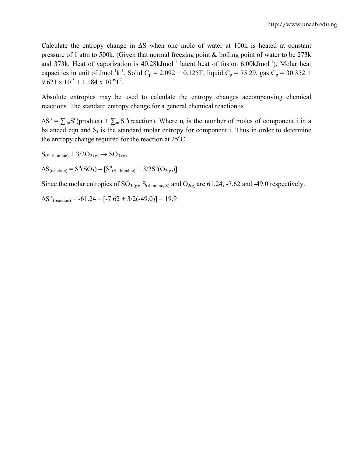Calculate the entropy change in ∆S when one mole of water at 100k is heated at constant pressure of 1 atm to 500k. (Given that normal freezing point & boiling point of water to be 273k and 373k, Heat of vaporization is  $40.28$ kJmol<sup>-1</sup> latent heat of fusion  $6.00$ kJmol<sup>-1</sup>). Molar heat capacities in unit of Jmol<sup>-1</sup>k<sup>-1</sup>, Solid C<sub>p</sub> = 2.092 + 0.125T, liquid C<sub>p</sub> = 75.29, gas C<sub>p</sub> = 30.352 +  $9.621 \times 10^{-3} + 1.184 \times 10^{-6}T^{2}$ .

Absolute entropies may be used to calculate the entropy changes accompanying chemical reactions. The standard entropy change for a general chemical reaction is

 $\Delta S^{\circ} = \sum_{\text{ini}} S^{\circ}(\text{product}) + \sum_{\text{ini}} S_{i}^{\circ}(\text{reaction})$ . Where n<sub>i</sub> is the number of moles of component i in a balanced eqn and  $S_i$  is the standard molar entropy for component i. Thus in order to determine the entropy change required for the reaction at  $25^{\circ}$ C.

 $S_{(S, rhombic)} + 3/2O_{2(g)} \rightarrow SO_{3(g)}$ 

 $\Delta S_{(reaction)} = S^{\circ}(SO_3) - [S^{\circ}_{(S, rhombic)} + 3/2S^{\circ}(O_{2(g)})]$ 

Since the molar entropies of  $SO_{3(g)}$ ,  $S_{(rhombic, S)}$  and  $O_{2(g)}$  are 61.24, -7.62 and -49.0 respectively.

 $\Delta S^{\circ}$  (reaction) = -61.24 – [-7.62 + 3/2(-49.0)] = 19.9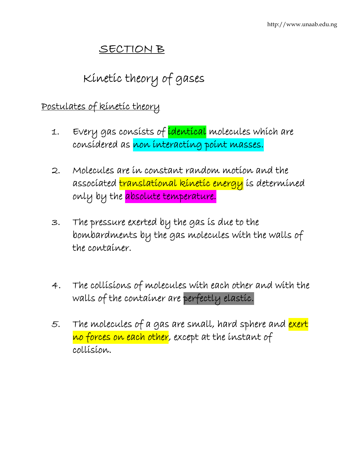# SECTION B

Kinetic theory of gases

### Postulates of kinetic theory

- 1. Every gas consists of identical molecules which are considered as non interacting point masses.
- 2. Molecules are in constant random motion and the associated translational kinetic energy is determined only by the absolute temperature.
- 3. The pressure exerted by the gas is due to the bombardments by the gas molecules with the walls of the container.
- 4. The collisions of molecules with each other and with the walls of the container are perfectly elastic.
- 5. The molecules of a gas are small, hard sphere and exert no forces on each other, except at the instant of collision.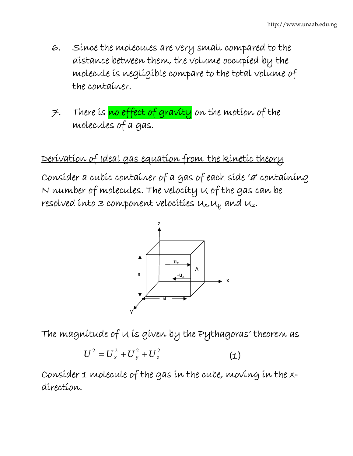- 6. Since the molecules are very small compared to the distance between them, the volume occupied by the molecule is negligible compare to the total volume of the container.
- 7. There is no effect of gravity on the motion of the molecules of a gas.

# Derivation of Ideal gas equation from the kinetic theory

Consider a cubic container of a gas of each side 'a' containing N number of molecules. The velocity U of the gas can be resolved into 3 component velocities  $u_x, u_y$  and  $u_z$ .



The magnitude of U is given by the Pythagoras' theorem as

$$
U^2 = U_x^2 + U_y^2 + U_z^2 \tag{1}
$$

Consider 1 molecule of the gas in the cube, moving in the xdirection.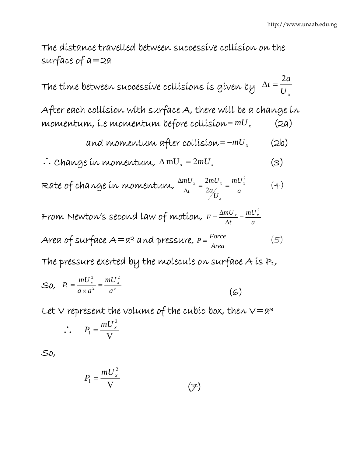The distance travelled between successive collision on the surface of a=2a

The time between successive collisions is given by  $\Delta t = \frac{1}{U_{x}}$ *a*  $\Delta t = \frac{2a}{U}$ 

After each collision with surface A, there will be a change in momentum, i.e momentum before collision= *mUx* (2a)

and momentum after collision = 
$$
-mU_x
$$
 (2b)

$$
\therefore \text{Change in momentum, } \Delta \text{ mU}_x = 2mU_x \tag{3}
$$

Rate of change in momentum,  $\frac{\Delta m U_x}{\Delta t} = \frac{2 m U_x}{2 a_{xx}'} = \frac{m U_x}{a}$ *U a mU t*  $mU_x \equiv 2mU_x \equiv mU_x^2$ *x*  $x = \frac{2mV}{x}$ 2  $\frac{\Delta mU_x}{\Delta t} = \frac{2mU_x}{2a_x} = \frac{mU_x^2}{a}$  (4)

From Newton's second law of motion,  $F = \frac{\Delta m U_x}{\Delta t} = \frac{mU}{a}$ *t*  $F = \frac{\Delta mU_x}{\Delta x} = \frac{mU_x^2}{\Delta x}$  $=\frac{\Delta m U_x}{\Delta t}$  =

Area of surface  $A = a^2$  and pressure,  $P = \frac{Force}{Area}$  (5)

The pressure exerted by the molecule on surface A is  $P_1$ ,

$$
SO, \quad P_1 = \frac{mU_x^2}{a \times a^2} = \frac{mU_x^2}{a^3} \tag{6}
$$

Let  $\vee$  represent the volume of the cubic box, then  $\vee = a^3$ 

$$
\therefore P_1 = \frac{mU_x^2}{V}
$$

So,

$$
P_1 = \frac{mU_x^2}{V} \tag{7}
$$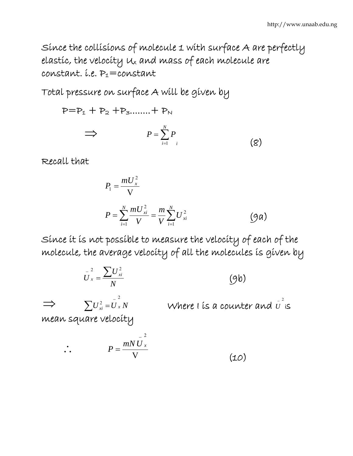Since the collisions of molecule 1 with surface A are perfectly elastic, the velocity Ux and mass of each molecule are constant. *i.e.*  $P_1$ =constant

Total pressure on surface A will be given by

$$
P = P_1 + P_2 + P_3 \dots + P_N
$$
  
\n
$$
\implies P = \sum_{i=1}^{N} P_i
$$
 (8)

Recall that

$$
P_{1} = \frac{mU_{x}^{2}}{V}
$$
  

$$
P = \sum_{i=1}^{N} \frac{mU_{xi}^{2}}{V} = \frac{m}{V} \sum_{i=1}^{N} U_{xi}^{2}
$$
 (9a)

Since it is not possible to measure the velocity of each of the molecule, the average velocity of all the molecules is given by

$$
\overline{U}_{x}^{2} = \frac{\sum U_{xi}^{2}}{N}
$$
 (9b)  
\n
$$
\implies \sum U_{xi}^{2} = \overline{U}_{x}^{2} N
$$
 Where t is a counter and  $\overline{U}^{2}$  is  
\n
$$
\therefore P = \frac{mNU_{x}^{2}}{V}
$$
 (10)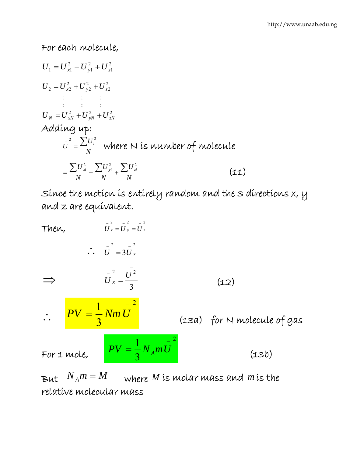### For each molecule,

2 1 2  $U_1 = U_{x1}^2 + U_{y1}^2 + U_{z}^2$ 2 2 2  $U_2 = U_{x2}^2 + U_{y2}^2 + U_z^2$ :  $\mathbf{r} = \mathbf{r} \cdot \mathbf{r}$ :  $\sim$   $\sim$   $\sim$   $\sim$  $U_N = U_{xN}^2 + U_{yN}^2 + U_{zN}^2$ Adding up:  $\overline{U}^2 = \frac{\sum U_i^2}{N}$  where N is number of molecule *<sup>N</sup> U N U N*  $=\frac{\sum U_{xi}^2}{\sum_{i=1}^{2}} + \frac{\sum U_{yi}^2}{\sum_{i=1}^{2}} + \frac{\sum U_{zi}^2}{\sum_{i=1}^{2}}$  $(11)$ 

Since the motion is entirely random and the 3 directions x, y and z are equivalent.

Then,  
\n
$$
\vec{U}_x = \vec{U}_y = \vec{U}_z
$$
\n
$$
\vec{U}_x = \frac{\vec{U}_x^2}{3}
$$
\n
$$
\vec{U}_x = \frac{\vec{U}_x^2}{3}
$$
\n
$$
\vec{U}_x = \frac{\vec{U}_x^2}{3}
$$
\n(12)\n
$$
\vec{U}_x = \frac{1}{3} Nm \vec{U}
$$
\n(13a) for N molecule of gas\nFor 1 mole,  
\n
$$
PV = \frac{1}{3} N_A m \vec{U}
$$
\n(13b)

But  $N_A m = M$  where *M* is molar mass and *m* is the relative molecular mass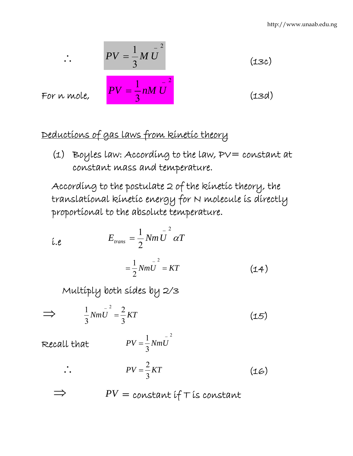$$
PV = \frac{1}{3} M \bar{U}^{2}
$$
 (13c)  

$$
PV = \frac{1}{3} n M \bar{U}^{2}
$$
 (13d)

For n mole,

∴<br>∴

## Deductions of gas laws from kinetic theory

(1) Boyles law: According to the law,  $PV = constant$  at constant mass and temperature.

According to the postulate 2 of the kinetic theory, the translational kinetic energy for N molecule is directly proportional to the absolute temperature.

$$
\begin{aligned}\n\hat{\iota} \cdot e & E_{trans} = \frac{1}{2} Nm \bar{U}^2 \alpha T \\
&= \frac{1}{2} Nm \bar{U}^2 = KT \qquad (14) \\
\text{Multiply both sides by } 2/3 \\
\implies \frac{1}{3} Nm \bar{U}^2 = \frac{2}{3} KT \qquad (15)\n\end{aligned}
$$

Recall that

$$
PV = \frac{1}{3} Nm\overline{U}^2
$$

$$
PV = \frac{2}{3}KT
$$
 (16)

$$
\implies \qquad PV = constant if \; \text{if a constant}
$$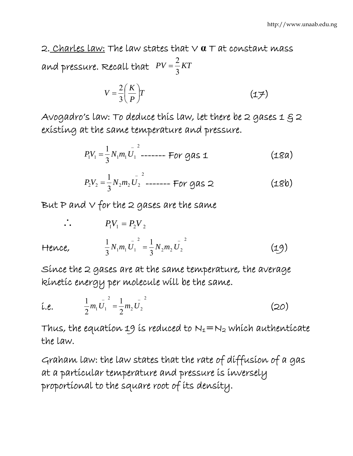2. Charles law: The law states that V **α** T at constant mass and pressure. Recall that  $PV = \frac{2}{3}KT$  $=\frac{2}{3}$ 

$$
V = \frac{2}{3} \left( \frac{K}{P} \right) T \tag{17}
$$

Avogadro's law: To deduce this law, let there be 2 gases 1  $\xi$  2 existing at the same temperature and pressure.

$$
P_1 V_1 = \frac{1}{3} N_1 m_1 U_1^2 \quad \text{---} \quad \text{For gas } \mathbf{1}
$$
 (18a)

$$
P_2 V_2 = \frac{1}{3} N_2 m_2 U_2^2
$$
----- For gas 2 (18b)

But P and  $\vee$  for the 2 gases are the same

$$
\therefore P_1 V_1 = P_2 V_2
$$
  
Hence, 
$$
\frac{1}{3} N_1 m_1 U_1^2 = \frac{1}{3} N_2 m_2 U_2^2
$$
 (19)

Since the 2 gases are at the same temperature, the average kinetic energy per molecule will be the same.

$$
\text{i.e.} \qquad \frac{1}{2} m_1 \bar{U}_1^2 = \frac{1}{2} m_2 \bar{U}_2^2 \qquad (20)
$$

Thus, the equation 19 is reduced to  $N_1=N_2$  which authenticate the law.

Graham law: the law states that the rate of diffusion of a gas at a particular temperature and pressure is inversely proportional to the square root of its density.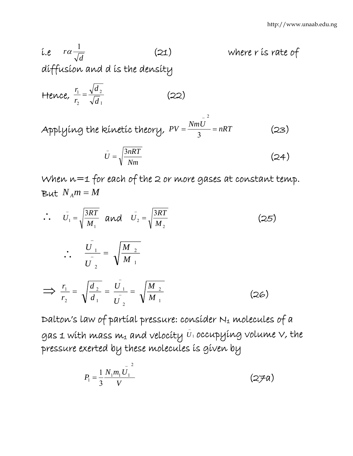i.e 
$$
ra\frac{1}{\sqrt{d}}
$$
 (21) where r is rate of  
diffusion and d is the density  
Hence,  $\frac{r_1}{r_2} = \frac{\sqrt{d_2}}{\sqrt{d_1}}$  (22)

Applying the kinetic theory,  $PV = \frac{NmU}{3} = nRT$ − (23)

$$
\bar{U} = \sqrt{\frac{3nRT}{Nm}}
$$
 (24)

When n=1 for each of the 2 or more gases at constant temp. But  $N_A m = M$ 

∴<br>∴ 1 1 3 *M*  $\bar{U}_1 = \sqrt{\frac{3RT}{M_1}}$  and  $\bar{U}_2 = \sqrt{\frac{3RT}{M_2}}$ 2 3 *M*  $\bar{U}_2 = \sqrt{\frac{3RT}{L}}$  (25)  $\therefore \frac{U_1}{U_2} = \sqrt{\frac{M_{2}}{M_{1}}}$ 2 1 *M M U*  $\frac{U_1}{I_1}$  = − ⇒ 1  $1 - \int^{1}^{1} 2$ 2 1 2 2 1 *M M U U d d*  $\frac{r_1}{r_2} = \sqrt{\frac{d_2}{d_1}} = \frac{U_1}{U_1} =$ − (26)

Dalton's law of partial pressure: consider N1 molecules of a gas 1 with mass  $m_1$  and velocity  $\bar{\upsilon}_1$  occupying volume  $\vee$ , the pressure exerted by these molecules is given by

$$
P_1 = \frac{1}{3} \frac{N_1 m_1 \bar{U_1}^2}{V} \tag{27a}
$$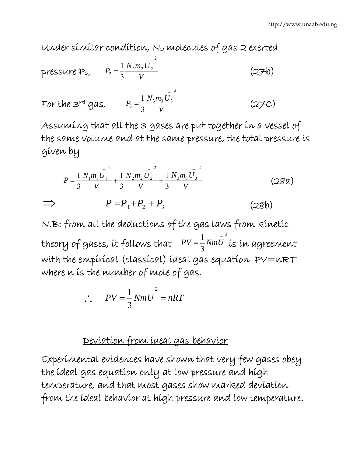Under similar condition, N2 molecules of gas 2 exerted

pressure P<sub>2</sub>, 
$$
P_2 = \frac{1}{3} \frac{N_2 m_2 U_2}{V}
$$
 (276)  
For the  $3^{rd}$  gas,  $P_3 = \frac{1}{3} \frac{N_3 m_3 U_3}{V}$  (27c)

Assuming that all the 3 gases are put together in a vessel of the same volume and at the same pressure, the total pressure is given by

$$
P = \frac{1}{3} \frac{N_1 m_1 \bar{U_1}^2}{V} + \frac{1}{3} \frac{N_2 m_2 \bar{U_2}^2}{V} + \frac{1}{3} \frac{N_3 m_3 \bar{U_3}^2}{V}
$$
 (28a)  
\n
$$
\implies P = P_1 + P_2 + P_3
$$
 (28b)

N.B: from all the deductions of the gas laws from kinetic theory of gases, it follows that 2 3  $1 \frac{1}{\lambda}$  $PV = \frac{1}{3}NmU$  is in agreement with the empirical (classical) ideal gas equation PV=nRT where *n* is the number of mole of gas.

$$
\therefore PV = \frac{1}{3} N m \overline{U}^2 = nRT
$$

### Deviation from ideal gas behavior

Experimental evidences have shown that very few gases obey the ideal gas equation only at low pressure and high temperature, and that most gases show marked deviation from the ideal behavior at high pressure and low temperature.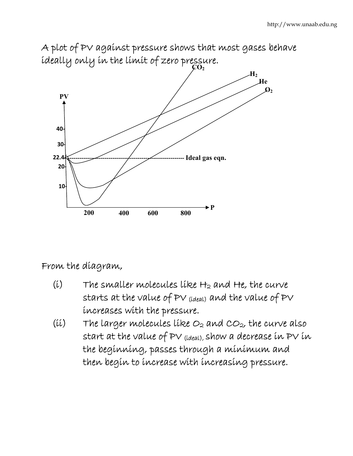

# A plot of PV against pressure shows that most gases behave

### From the diagram,

- $(i)$  The smaller molecules like  $H_2$  and He, the curve starts at the value of PV (ideal) and the value of PV increases with the pressure.
- (ii) The larger molecules like  $O_2$  and  $CO_2$ , the curve also start at the value of PV (ideal), show a decrease in PV in the beginning, passes through a minimum and then begin to increase with increasing pressure.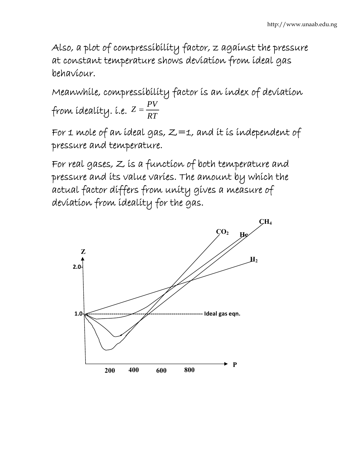Also, a plot of compressibility factor, z against the pressure at constant temperature shows deviation from ideal gas behaviour.

Meanwhile, compressibility factor is an index of deviation from ídealíty. í.e.  $Z = \frac{PV}{RT}$ 

For 1 mole of an ideal gas,  $Z=1$ , and it is independent of pressure and temperature.

For real gases, Z is a function of both temperature and pressure and its value varies. The amount by which the actual factor differs from unity gives a measure of deviation from ideality for the gas.

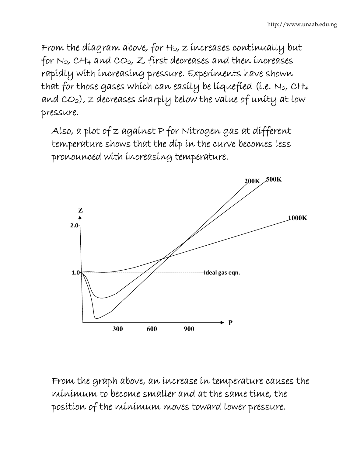From the diagram above, for H2, z increases continually but for  $N_2$ , CH<sub>4</sub> and CO<sub>2</sub>, Z first decreases and then increases rapidly with increasing pressure. Experiments have shown that for those gases which can easily be liquefied (i.e. N2, CH4 and  $CO_2$ ), z decreases sharply below the value of unity at low pressure.

Also, a plot of z against P for Nitrogen gas at different temperature shows that the dip in the curve becomes less pronounced with increasing temperature.



From the graph above, an increase in temperature causes the minimum to become smaller and at the same time, the position of the minimum moves toward lower pressure.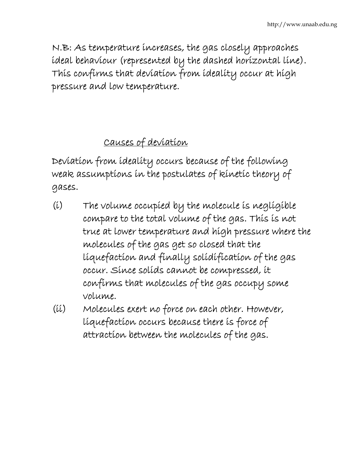N.B: As temperature increases, the gas closely approaches ideal behaviour (represented by the dashed horizontal line). This confirms that deviation from ideality occur at high pressure and low temperature.

# Causes of deviation

Deviation from ideality occurs because of the following weak assumptions in the postulates of kinetic theory of gases.

- (i) The volume occupied by the molecule is negligible compare to the total volume of the gas. This is not true at lower temperature and high pressure where the molecules of the gas get so closed that the liquefaction and finally solidification of the gas occur. Since solids cannot be compressed, it confirms that molecules of the gas occupy some volume.
- (ii) Molecules exert no force on each other. However, liquefaction occurs because there is force of attraction between the molecules of the gas.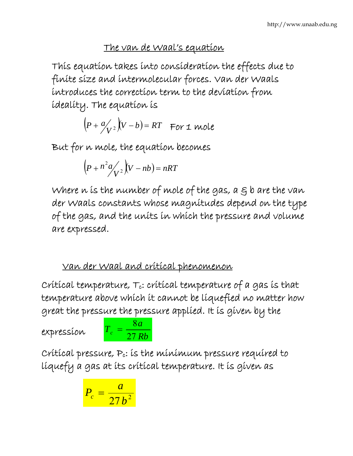### The van de Waal's equation

This equation takes into consideration the effects due to finite size and intermolecular forces. Van der Waals introduces the correction term to the deviation from ideality. The equation is

$$
(P + \frac{a}{V^2})(V - b) = RT \text{ For 1 mole}
$$

But for n mole, the equation becomes

$$
\left(P + n^2 a \middle/_{V^2}\right) (V - nb) = nRT
$$

Where  $n$  is the number of mole of the gas,  $a \in B$  b are the van der Waals constants whose magnitudes depend on the type of the gas, and the units in which the pressure and volume are expressed.

## Van der Waal and critical phenomenon

Crítícal temperature,  $T_c$ : crítícal temperature of a gas is that temperature above which it cannot be liquefied no matter how great the pressure the pressure applied. It is given by the

expression *Rb*

$$
T_c = \frac{8a}{27Rb}
$$

Critical pressure, Pc: is the minimum pressure required to liquefy a gas at its critical temperature. It is given as

$$
P_c = \frac{a}{27b^2}
$$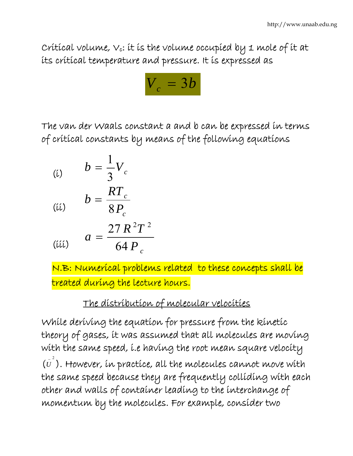Critical volume,  $v_c$ : it is the volume occupied by 1 mole of it at its critical temperature and pressure. It is expressed as



The van der Waals constant a and b can be expressed in terms of critical constants by means of the following equations

$$
\begin{array}{ll} \text{(i)} & b = \frac{1}{3} V_c \\ & \text{ } & \end{array}
$$

$$
(ii) \qquad b = \frac{RT_c}{8P_c}
$$

$$
(iii) \qquad a = \frac{27 R^2 T^2}{64 P_c}
$$

N.B: Numerical problems related to these concepts shall be treated during the lecture hours.

## The distribution of molecular velocities

While deriving the equation for pressure from the kinetic theory of gases, it was assumed that all molecules are moving with the same speed, i.e having the root mean square velocity  $(\bar{u}^2)$ . However, in practice, all the molecules cannot move with the same speed because they are frequently colliding with each other and walls of container leading to the interchange of momentum by the molecules. For example, consider two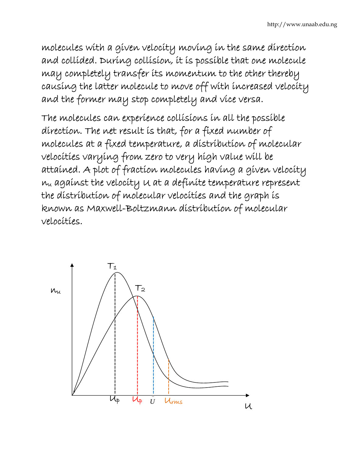molecules with a given velocity moving in the same direction and collided. During collision, it is possible that one molecule may completely transfer its momentum to the other thereby causing the latter molecule to move off with increased velocity and the former may stop completely and vice versa.

The molecules can experience collisions in all the possible direction. The net result is that, for a fixed number of molecules at a fixed temperature, a distribution of molecular velocities varying from zero to very high value will be attained. A plot of fraction molecules having a given velocity nu against the velocity U at a definite temperature represent the distribution of molecular velocities and the graph is known as Maxwell-Boltzmann distribution of molecular velocities.

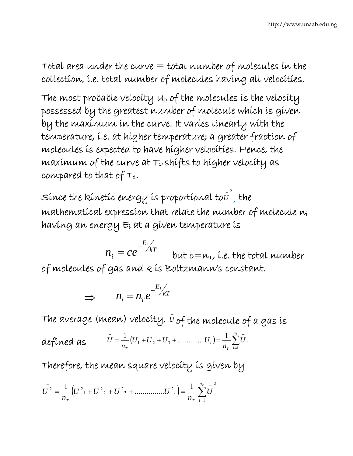Total area under the curve  $=$  total number of molecules in the collection, i.e. total number of molecules having all velocities.

The most probable velocity  $u_p$  of the molecules is the velocity possessed by the greatest number of molecule which is given by the maximum in the curve. It varies linearly with the temperature, i.e. at higher temperature; a greater fraction of molecules is expected to have higher velocities. Hence, the maximum of the curve at  $T_2$  shifts to higher velocity as compared to that of  $T_1$ .

Since the kinetic energy is proportional to  $\bar{\vec{v}}^{\,2}$  , the mathematical expression that relate the number of molecule ni having an energy Ei at a given temperature is

 $n_i = ce^{-\frac{1}{K}}$ *E i*  $n_i = ce^{-\frac{E_i}{kT}}$  but c=n<sub>T</sub>, i.e. the total number of molecules of gas and k is Boltzmann's constant.

$$
\implies \qquad n_i = n_T e^{-\frac{E_i}{kT}}
$$

The average (mean) velocity,  $\bar{v}$  of the molecule of a gas is

defined as  $\bar{U} = \frac{1}{n_T} (U_1 + U_2 + U_3 + \dots + U_i) = \frac{1}{n_T} \sum_{i=1}^{n_T} \bar{U}_i$ *nT i i T i T U n*  $U_1 + U_2 + U_3 + \dots$ *n U* 1  $\frac{1}{n_{\pi}}(U_1 + U_2 + U_3 + \dots + U_i) = \frac{1}{n_{\pi}}\sum_{i=1}^{n_{\pi}}U_i$ 

Therefore, the mean square velocity is given by

$$
U^{2} = \frac{1}{n_{T}} \Big( U^{2}{}_{1} + U^{2}{}_{2} + U^{2}{}_{3} + \dots \dots \dots \dots U^{2}{}_{i} \Big) = \frac{1}{n_{T}} \sum_{i=1}^{n_{T}} U^{2}{}_{i}
$$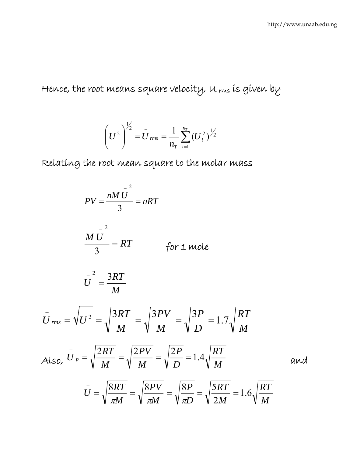Hence, the root means square velocity, u ms is given by

$$
\left(U^2\right)^{\frac{1}{2}} = U_{rms} = \frac{1}{n_T} \sum_{i=1}^{n_T} \left(\frac{U_i^2}{U_i^2}\right)^{\frac{1}{2}}
$$

Relating the root mean square to the molar mass

$$
PV = \frac{nM\overline{U}}{3} = nRT
$$
  
\n
$$
\frac{M\overline{U}}{3} = RT \qquad \text{for } 1 \text{ mole}
$$
  
\n
$$
\overline{U}^2 = \frac{3RT}{M}
$$
  
\n
$$
\overline{U}_{rms} = \sqrt{\overline{U^2}} = \sqrt{\frac{3RT}{M}} = \sqrt{\frac{3PV}{M}} = \sqrt{\frac{3P}{D}} = 1.7\sqrt{\frac{RT}{M}}
$$
  
\nAlso,  $\overline{U}_{p} = \sqrt{\frac{2RT}{M}} = \sqrt{\frac{2PV}{M}} = \sqrt{\frac{2P}{D}} = 1.4\sqrt{\frac{RT}{M}}$  and  
\n
$$
\overline{U} = \sqrt{\frac{8RT}{\pi M}} = \sqrt{\frac{8PV}{\pi M}} = \sqrt{\frac{8P}{\pi D}} = \sqrt{\frac{5RT}{2M}} = 1.6\sqrt{\frac{RT}{M}}
$$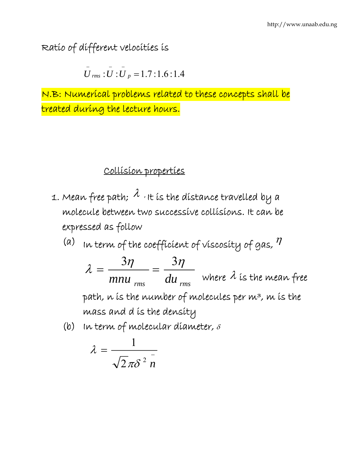Ratio of different velocities is

$$
\stackrel{-}{U}_{rms}:\stackrel{-}{U}:\stackrel{-}{U}_{p}=1.7:1.6:1.4
$$

N.B: Numerical problems related to these concepts shall be treated during the lecture hours.

### Collision properties

- 1. Mean free path;  $\lambda$  , it is the distance travelled by a molecule between two successive collisions. It can be expressed as follow
	- (a) In term of the coefficient of viscosity of gas,  $\eta$

*rms rms mnu du*  $\lambda = \frac{3\eta}{\eta} = \frac{3\eta}{\eta}$ where  $\lambda$  is the mean free path, n is the number of molecules per m3, m is the mass and d is the density

(b) In term of molecular diameter,  $\delta$ 

$$
\lambda = \frac{1}{\sqrt{2}\pi\delta^2 n}
$$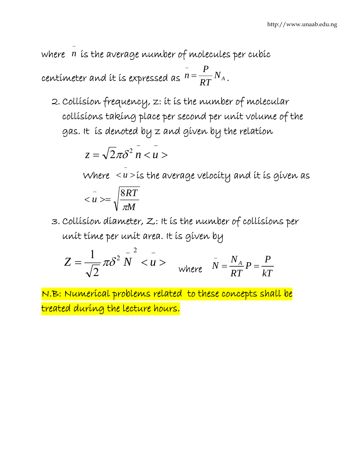where <sup>−</sup> *n* is the average number of molecules per cubic

centimeter and it is expressed as  $n = \frac{1}{RT} N_A$ *P*  $n =$ − .

2. Collision frequency, z: it is the number of molecular collisions taking place per second per unit volume of the gas. It is denoted by z and given by the relation

$$
z = \sqrt{2\pi\delta^2} \, \bar{n} < u > 0
$$

Where  $\langle u \rangle$ − *u* > is the average velocity and it is given as *M RT u* π 8  $$   $\leq$ </u> −

3. Collision diameter, Z: It is the number of collisions per unit time per unit area. It is given by

$$
Z = \frac{1}{\sqrt{2}} \pi \delta^2 \stackrel{-}{N} < u > \quad \text{where} \quad \bar{N} = \frac{N_A}{RT} P = \frac{P}{kT}
$$

N.B: Numerical problems related to these concepts shall be treated during the lecture hours.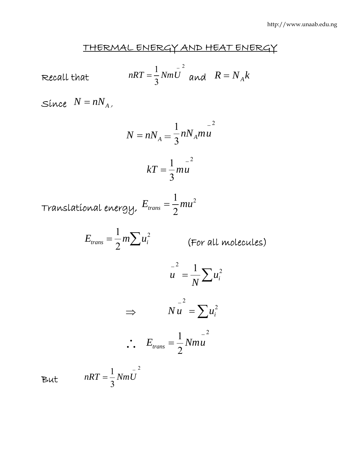### THERMAL ENERGY AND HEAT ENERGY

Recall that 
$$
nRT = \frac{1}{3} Nm \overline{U}^2
$$
 and  $R = N_A k$ 

 $Since N = nN_A$ 

$$
N = nN_A = \frac{1}{3} nN_A m u^{-2}
$$

$$
kT = \frac{1}{2} m u^{-2}
$$

3

Translational energy, 2 2  $E_{trans} = \frac{1}{2}mu$ 

$$
E_{trans} = \frac{1}{2} m \sum u_i^2
$$
 (For all molecules)

$$
u = \frac{1}{N} \sum u_i^2
$$
  
\n
$$
\Rightarrow \qquad N u = \sum u_i^2
$$
  
\n
$$
\therefore E_{trans} = \frac{1}{2} N m u
$$

But 
$$
nRT = \frac{1}{3} Nm \overline{U}^2
$$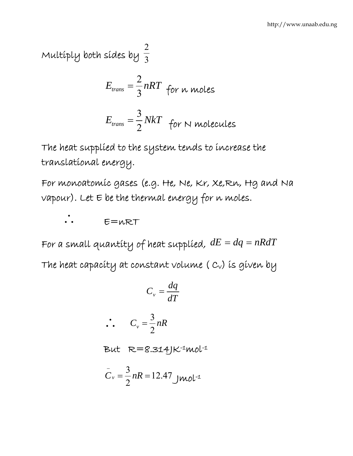Multiply both sides by  $\overline{3}$ 2

$$
E_{trans} = \frac{2}{3} nRT
$$
 for n moles  

$$
E_{trans} = \frac{3}{2} NkT
$$
 for N molecules

The heat supplied to the system tends to increase the translational energy.

For monoatomic gases (e.g. He, Ne, Kr, Xe,Rn, Hg and Na  $v$ apour). Let  $\in$  be the thermal energy for n moles.

∴ E=nRT

For a small quantity of heat supplied,  $dE = dq = nRdT$ The heat capacity at constant volume  $(c_v)$  is given by

$$
C_v = \frac{dq}{dT}
$$

$$
\therefore C_v = \frac{3}{2} nR
$$

But R=8.314JK-1mol-1

$$
C_v = \frac{3}{2} nR = 12.47 \text{ J} \text{mol}^{-1}
$$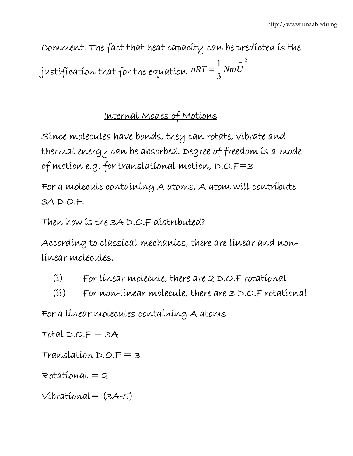Comment: The fact that heat capacity can be predicted is the justification that for the equation 2 3  $1 \frac{1}{\mathbf{M}_{\text{tot}} \mathbf{I}^2}$  $nRT = \frac{1}{2}NmU$ 

## Internal Modes of Motions

Since molecules have bonds, they can rotate, vibrate and thermal energy can be absorbed. Degree of freedom is a mode of motion e.g. for translational motion, D.O.F=3

For a molecule containing A atoms, A atom will contribute 3A D.O.F.

Then how is the 3A D.O.F distributed?

According to classical mechanics, there are linear and nonlinear molecules.

- (i) For linear molecule, there are 2 D.O.F rotational
- (ii) For non-linear molecule, there are 3 D.O.F rotational

For a linear molecules containing A atoms

Total  $D.O.F = 3A$ 

 $Translation$   $D.P = 3$ 

Rotational = 2

 $Vibrational = (3A-5)$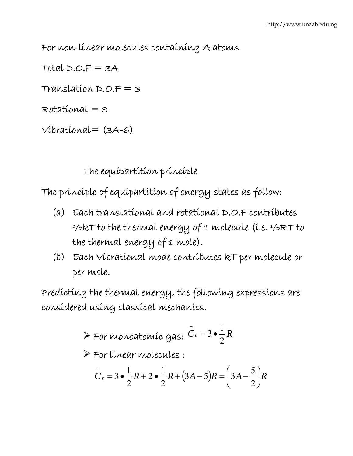For non-linear molecules containing A atoms

 $Total D.O.F = 3A$ Translation D.O.F = 3 Rotational = 3

 $Vibrational = (3A-6)$ 

### The equipartition principle

The principle of equipartition of energy states as follow:

- (a) Each translational and rotational D.O.F contributes ½kT to the thermal energy of 1 molecule (i.e. ½RT to the thermal energy of 1 mole).
- (b) Each Vibrational mode contributes kT per molecule or per mole.

Predicting the thermal energy, the following expressions are considered using classical mechanics.

$$
\blacktriangleright
$$
 For monodromíc gas:  $\bar{C}_v = 3 \cdot \frac{1}{2} R$ 

¾ For linear molecules :

$$
C_v = 3 \cdot \frac{1}{2} R + 2 \cdot \frac{1}{2} R + (3A - 5) R = \left(3A - \frac{5}{2}\right) R
$$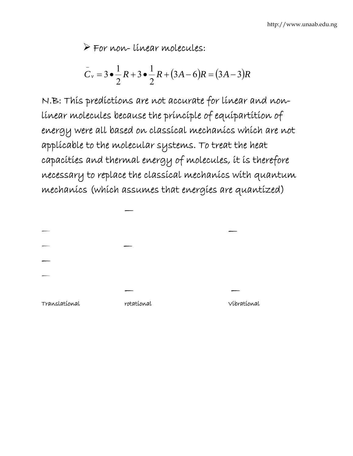¾ For non- linear molecules:

$$
C_v = 3 \bullet \frac{1}{2} R + 3 \bullet \frac{1}{2} R + (3A - 6)R = (3A - 3)R
$$

N.B: This predictions are not accurate for linear and nonlinear molecules because the principle of equipartition of energy were all based on classical mechanics which are not applicable to the molecular systems. To treat the heat capacities and thermal energy of molecules, it is therefore necessary to replace the classical mechanics with quantum mechanics (which assumes that energies are quantized)

| Translational | rotational | Vibratíonal |
|---------------|------------|-------------|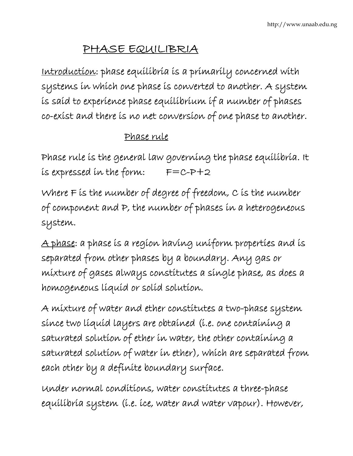# PHASE EQUILIBRIA

Introduction: phase equilibria is a primarily concerned with systems in which one phase is converted to another. A system is said to experience phase equilibrium if a number of phases co-exist and there is no net conversion of one phase to another.

### Phase rule

Phase rule is the general law governing the phase equilibria. It is expressed in the form:  $F=C-P+2$ 

Where F is the number of degree of freedom, C is the number of component and P, the number of phases in a heterogeneous system.

A phase: a phase is a region having uniform properties and is separated from other phases by a boundary. Any gas or mixture of gases always constitutes a single phase, as does a homogeneous liquid or solid solution.

A mixture of water and ether constitutes a two-phase system since two liquid layers are obtained (i.e. one containing a saturated solution of ether in water, the other containing a saturated solution of water in ether), which are separated from each other by a definite boundary surface.

Under normal conditions, water constitutes a three-phase equilibria system (i.e. ice, water and water vapour). However,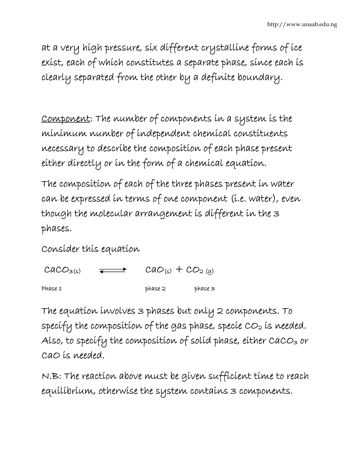at a very high pressure, six different crystalline forms of ice exist, each of which constitutes a separate phase, since each is clearly separated from the other by a definite boundary.

Component: The number of components in a system is the minimum number of independent chemical constituents necessary to describe the composition of each phase present either directly or in the form of a chemical equation.

The composition of each of the three phases present in water can be expressed in terms of one component (i.e. water), even though the molecular arrangement is different in the 3 phases.

Consider this equation

| $CACO_{3(s)}$ | $\overline{\phantom{ii}}$ | $Cao_{(s)} + CO_{2}(q)$ |           |
|---------------|---------------------------|-------------------------|-----------|
| Phase 1       |                           | phase 2                 | $phase$ 3 |

The equation involves 3 phases but only 2 components. To specify the composition of the gas phase, specie  $CO<sub>2</sub>$  is needed. Also, to specify the composition of solid phase, either CaCO3 or CaO is needed.

N.B: The reaction above must be given sufficient time to reach equilibrium, otherwise the system contains 3 components.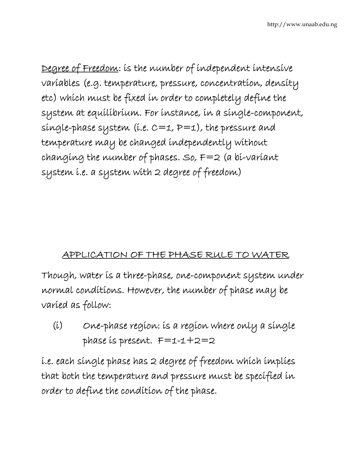Degree of Freedom: is the number of independent intensive variables (e.g. temperature, pressure, concentration, density etc) which must be fixed in order to completely define the system at equilibrium. For instance, in a single-component, single-phase system (i.e.  $C=1$ ,  $P=1$ ), the pressure and temperature may be changed independently without changing the number of phases. So,  $F=2$  (a bi-variant system i.e. a system with 2 degree of freedom)

### APPLICATION OF THE PHASE RULE TO WATER

Though, water is a three-phase, one-component system under normal conditions. However, the number of phase may be varied as follow:

(i) One-phase region: is a region where only a single phase is present. F=1-1+2=2

i.e. each single phase has 2 degree of freedom which implies that both the temperature and pressure must be specified in order to define the condition of the phase.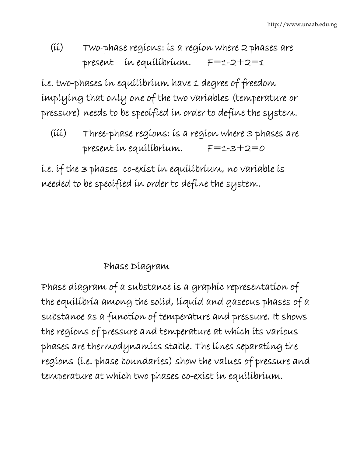# (ii) Two-phase regions: is a region where 2 phases are present in equilibrium. F=1-2+2=1

i.e. two-phases in equilibrium have 1 degree of freedom implying that only one of the two variables (temperature or pressure) needs to be specified in order to define the system.

 (iii) Three-phase regions: is a region where 3 phases are present in equilibrium. F=1-3+2=0

i.e. if the 3 phases co-exist in equilibrium, no variable is needed to be specified in order to define the system.

# Phase Diagram

Phase diagram of a substance is a graphic representation of the equilibria among the solid, liquid and gaseous phases of a substance as a function of temperature and pressure. It shows the regions of pressure and temperature at which its various phases are thermodynamics stable. The lines separating the regions (i.e. phase boundaries) show the values of pressure and temperature at which two phases co-exist in equilibrium.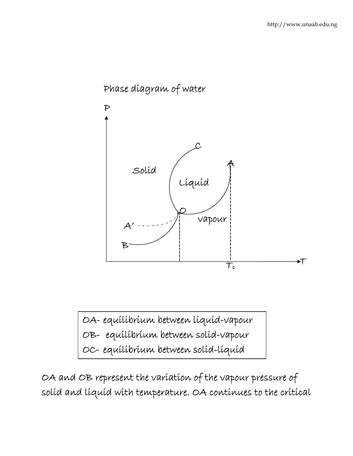

# Phase diagram of water

OA- equilibrium between liquid-vapour OB- equilibrium between solid-vapour OC- equilibrium between solid-liquid

OA and OB represent the variation of the vapour pressure of solid and liquid with temperature. OA continues to the critical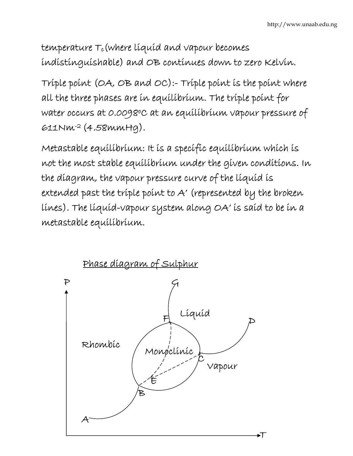$t$ emperature  $\tau_c$ (where líquíd and vapour becomes indistinguishable) and OB continues down to zero Kelvin.

Triple point (OA, OB and OC):- Triple point is the point where all the three phases are in equilibrium. The triple point for water occurs at 0.0098°C at an equilibrium vapour pressure of 611Nm-2 (4.58mmHg).

Metastable equilibrium: It is a specific equilibrium which is not the most stable equilibrium under the given conditions. In the diagram, the vapour pressure curve of the liquid is extended past the triple point to A' (represented by the broken lines). The liquid-vapour system along OA' is said to be in a metastable equilibrium.